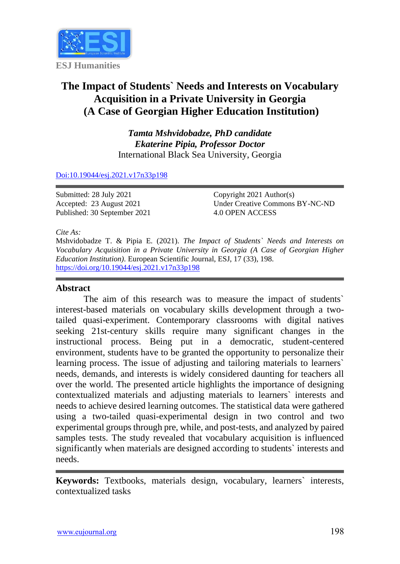

# **The Impact of Students` Needs and Interests on Vocabulary Acquisition in a Private University in Georgia (A Case of Georgian Higher Education Institution)**

*Tamta Mshvidobadze, PhD candidate Ekaterine Pipia, Professor Doctor* International Black Sea University, Georgia

#### [Doi:10.19044/esj.2021.v17n33p198](https://doi.org/10.19044/esj.2021.v17n33p198)

Submitted: 28 July 2021 Accepted: 23 August 2021 Published: 30 September 2021 Copyright 2021 Author(s) Under Creative Commons BY-NC-ND 4.0 OPEN ACCESS

#### *Cite As:*

Mshvidobadze T. & Pipia E. (2021). *The Impact of Students` Needs and Interests on Vocabulary Acquisition in a Private University in Georgia (A Case of Georgian Higher Education Institution).* European Scientific Journal, ESJ, 17 (33), 198. <https://doi.org/10.19044/esj.2021.v17n33p198>

## **Abstract**

The aim of this research was to measure the impact of students` interest-based materials on vocabulary skills development through a twotailed quasi-experiment. Contemporary classrooms with digital natives seeking 21st-century skills require many significant changes in the instructional process. Being put in a democratic, student-centered environment, students have to be granted the opportunity to personalize their learning process. The issue of adjusting and tailoring materials to learners` needs, demands, and interests is widely considered daunting for teachers all over the world. The presented article highlights the importance of designing contextualized materials and adjusting materials to learners` interests and needs to achieve desired learning outcomes. The statistical data were gathered using a two-tailed quasi-experimental design in two control and two experimental groups through pre, while, and post-tests, and analyzed by paired samples tests. The study revealed that vocabulary acquisition is influenced significantly when materials are designed according to students` interests and needs.

**Keywords:** Textbooks, materials design, vocabulary, learners` interests, contextualized tasks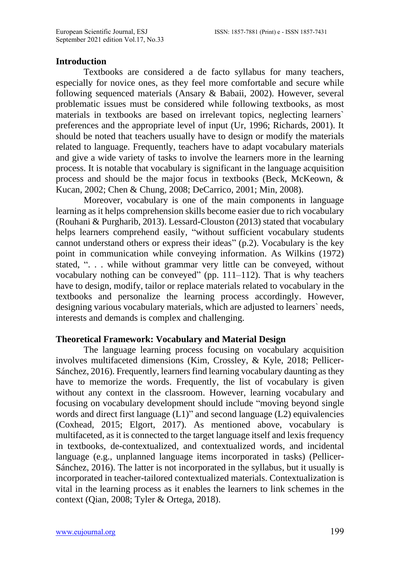#### **Introduction**

Textbooks are considered a de facto syllabus for many teachers, especially for novice ones, as they feel more comfortable and secure while following sequenced materials (Ansary & Babaii, 2002). However, several problematic issues must be considered while following textbooks, as most materials in textbooks are based on irrelevant topics, neglecting learners` preferences and the appropriate level of input (Ur, 1996; Richards, 2001). It should be noted that teachers usually have to design or modify the materials related to language. Frequently, teachers have to adapt vocabulary materials and give a wide variety of tasks to involve the learners more in the learning process. It is notable that vocabulary is significant in the language acquisition process and should be the major focus in textbooks (Beck, McKeown, & Kucan, 2002; Chen & Chung, 2008; DeCarrico, 2001; Min, 2008).

Moreover, vocabulary is one of the main components in language learning as it helps comprehension skills become easier due to rich vocabulary (Rouhani & Purgharib, 2013). Lessard-Clouston (2013) stated that vocabulary helps learners comprehend easily, "without sufficient vocabulary students cannot understand others or express their ideas" (p.2). Vocabulary is the key point in communication while conveying information. As Wilkins (1972) stated, ". . . while without grammar very little can be conveyed, without vocabulary nothing can be conveyed" (pp. 111–112). That is why teachers have to design, modify, tailor or replace materials related to vocabulary in the textbooks and personalize the learning process accordingly. However, designing various vocabulary materials, which are adjusted to learners` needs, interests and demands is complex and challenging.

#### **Theoretical Framework: Vocabulary and Material Design**

The language learning process focusing on vocabulary acquisition involves multifaceted dimensions (Kim, Crossley, & Kyle, 2018; Pellicer-Sánchez, 2016). Frequently, learners find learning vocabulary daunting as they have to memorize the words. Frequently, the list of vocabulary is given without any context in the classroom. However, learning vocabulary and focusing on vocabulary development should include "moving beyond single words and direct first language (L1)" and second language (L2) equivalencies (Coxhead, 2015; Elgort, 2017). As mentioned above, vocabulary is multifaceted, as it is connected to the target language itself and lexis frequency in textbooks, de-contextualized, and contextualized words, and incidental language (e.g., unplanned language items incorporated in tasks) (Pellicer-Sánchez, 2016). The latter is not incorporated in the syllabus, but it usually is incorporated in teacher-tailored contextualized materials. Contextualization is vital in the learning process as it enables the learners to link schemes in the context (Qian, 2008; Tyler & Ortega, 2018).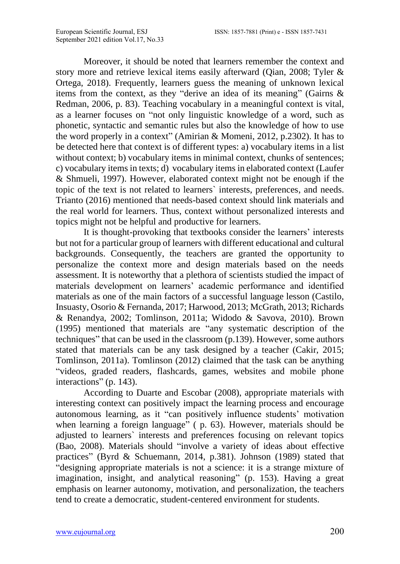Moreover, it should be noted that learners remember the context and story more and retrieve lexical items easily afterward (Qian, 2008; Tyler & Ortega, 2018). Frequently, learners guess the meaning of unknown lexical items from the context, as they "derive an idea of its meaning" (Gairns & Redman, 2006, p. 83). Teaching vocabulary in a meaningful context is vital, as a learner focuses on "not only linguistic knowledge of a word, such as phonetic, syntactic and semantic rules but also the knowledge of how to use the word properly in a context" (Amirian & Momeni, 2012, p.2302). It has to be detected here that context is of different types: a) vocabulary items in a list without context; b) vocabulary items in minimal context, chunks of sentences; c) vocabulary items in texts; d) vocabulary items in elaborated context (Laufer & Shmueli, 1997). However, elaborated context might not be enough if the topic of the text is not related to learners` interests, preferences, and needs. Trianto (2016) mentioned that needs-based context should link materials and the real world for learners. Thus, context without personalized interests and topics might not be helpful and productive for learners.

It is thought-provoking that textbooks consider the learners' interests but not for a particular group of learners with different educational and cultural backgrounds. Consequently, the teachers are granted the opportunity to personalize the context more and design materials based on the needs assessment. It is noteworthy that a plethora of scientists studied the impact of materials development on learners' academic performance and identified materials as one of the main factors of a successful language lesson (Castilo, Insuasty, Osorio & Fernanda, 2017; Harwood, 2013; McGrath, 2013; Richards & Renandya, 2002; Tomlinson, 2011a; Widodo & Savova, 2010). Brown (1995) mentioned that materials are "any systematic description of the techniques" that can be used in the classroom (p.139). However, some authors stated that materials can be any task designed by a teacher (Cakir, 2015; Tomlinson, 2011a). Tomlinson (2012) claimed that the task can be anything "videos, graded readers, flashcards, games, websites and mobile phone interactions" (p. 143).

According to Duarte and Escobar (2008), appropriate materials with interesting context can positively impact the learning process and encourage autonomous learning, as it "can positively influence students' motivation when learning a foreign language" ( p. 63). However, materials should be adjusted to learners` interests and preferences focusing on relevant topics (Bao, 2008). Materials should "involve a variety of ideas about effective practices" (Byrd & Schuemann, 2014, p.381). Johnson (1989) stated that "designing appropriate materials is not a science: it is a strange mixture of imagination, insight, and analytical reasoning" (p. 153). Having a great emphasis on learner autonomy, motivation, and personalization, the teachers tend to create a democratic, student-centered environment for students.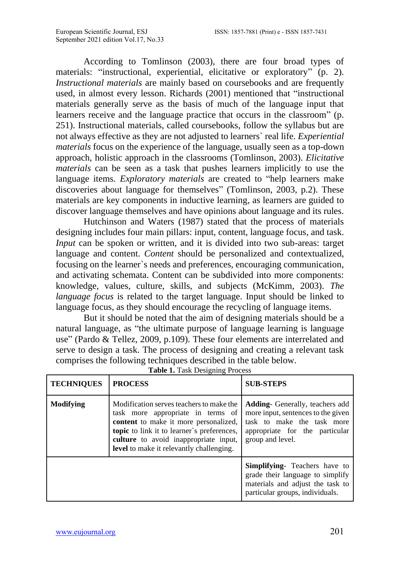According to Tomlinson (2003), there are four broad types of materials: "instructional, experiential, elicitative or exploratory" (p. 2). *Instructional materials* are mainly based on coursebooks and are frequently used, in almost every lesson. Richards (2001) mentioned that "instructional materials generally serve as the basis of much of the language input that learners receive and the language practice that occurs in the classroom" (p. 251). Instructional materials, called coursebooks, follow the syllabus but are not always effective as they are not adjusted to learners` real life. *Experiential materials* focus on the experience of the language, usually seen as a top-down approach, holistic approach in the classrooms (Tomlinson, 2003). *Elicitative materials* can be seen as a task that pushes learners implicitly to use the language items. *Exploratory materials* are created to "help learners make discoveries about language for themselves" (Tomlinson, 2003, p.2). These materials are key components in inductive learning, as learners are guided to discover language themselves and have opinions about language and its rules.

Hutchinson and Waters (1987) stated that the process of materials designing includes four main pillars: input, content, language focus, and task. *Input* can be spoken or written, and it is divided into two sub-areas: target language and content. *Content* should be personalized and contextualized, focusing on the learner`s needs and preferences, encouraging communication, and activating schemata. Content can be subdivided into more components: knowledge, values, culture, skills, and subjects (McKimm, 2003). *The language focus* is related to the target language. Input should be linked to language focus, as they should encourage the recycling of language items.

But it should be noted that the aim of designing materials should be a natural language, as "the ultimate purpose of language learning is language use" (Pardo & Tellez, 2009, p.109). These four elements are interrelated and serve to design a task. The process of designing and creating a relevant task comprises the following techniques described in the table below.

| <b>TECHNIQUES</b> | <b>PROCESS</b>                                                                                                                                                                                                                                            | <b>SUB-STEPS</b>                                                                                                                                                 |  |  |  |
|-------------------|-----------------------------------------------------------------------------------------------------------------------------------------------------------------------------------------------------------------------------------------------------------|------------------------------------------------------------------------------------------------------------------------------------------------------------------|--|--|--|
| <b>Modifying</b>  | Modification serves teachers to make the<br>task more appropriate in terms of<br>content to make it more personalized,<br>topic to link it to learner's preferences,<br>culture to avoid inappropriate input,<br>level to make it relevantly challenging. | <b>Adding-</b> Generally, teachers add<br>more input, sentences to the given<br>task to make the task more<br>appropriate for the particular<br>group and level. |  |  |  |
|                   |                                                                                                                                                                                                                                                           | <b>Simplifying-</b> Teachers have to<br>grade their language to simplify<br>materials and adjust the task to<br>particular groups, individuals.                  |  |  |  |

**Table 1.** Task Designing Process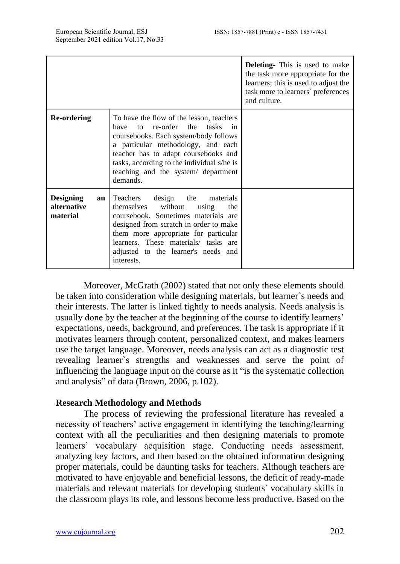|                                                   |                                                                                                                                                                                                                                                                                                             | <b>Deleting-</b> This is used to make<br>the task more appropriate for the<br>learners; this is used to adjust the<br>task more to learners' preferences<br>and culture. |
|---------------------------------------------------|-------------------------------------------------------------------------------------------------------------------------------------------------------------------------------------------------------------------------------------------------------------------------------------------------------------|--------------------------------------------------------------------------------------------------------------------------------------------------------------------------|
| <b>Re-ordering</b>                                | To have the flow of the lesson, teachers<br>to re-order the tasks<br>$\sin$<br>have<br>coursebooks. Each system/body follows<br>a particular methodology, and each<br>teacher has to adapt coursebooks and<br>tasks, according to the individual s/he is<br>teaching and the system/ department<br>demands. |                                                                                                                                                                          |
| <b>Designing</b><br>an<br>alternative<br>material | Teachers<br>design the<br>materials<br>themselves<br>without<br>using<br>the<br>coursebook. Sometimes materials are<br>designed from scratch in order to make<br>them more appropriate for particular<br>learners. These materials/ tasks are<br>adjusted to the learner's needs and<br>interests.          |                                                                                                                                                                          |

Moreover, McGrath (2002) stated that not only these elements should be taken into consideration while designing materials, but learner`s needs and their interests. The latter is linked tightly to needs analysis. Needs analysis is usually done by the teacher at the beginning of the course to identify learners' expectations, needs, background, and preferences. The task is appropriate if it motivates learners through content, personalized context, and makes learners use the target language. Moreover, needs analysis can act as a diagnostic test revealing learner`s strengths and weaknesses and serve the point of influencing the language input on the course as it "is the systematic collection and analysis" of data (Brown, 2006, p.102).

## **Research Methodology and Methods**

The process of reviewing the professional literature has revealed a necessity of teachers' active engagement in identifying the teaching/learning context with all the peculiarities and then designing materials to promote learners' vocabulary acquisition stage. Conducting needs assessment, analyzing key factors, and then based on the obtained information designing proper materials, could be daunting tasks for teachers. Although teachers are motivated to have enjoyable and beneficial lessons, the deficit of ready-made materials and relevant materials for developing students` vocabulary skills in the classroom plays its role, and lessons become less productive. Based on the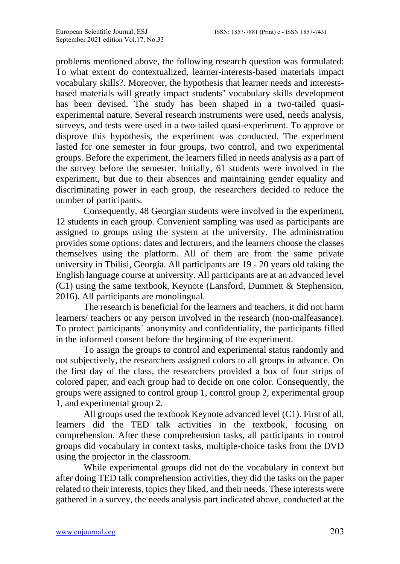problems mentioned above, the following research question was formulated: To what extent do contextualized, learner-interests-based materials impact vocabulary skills?. Moreover, the hypothesis that learner needs and interestsbased materials will greatly impact students' vocabulary skills development has been devised. The study has been shaped in a two-tailed quasiexperimental nature. Several research instruments were used, needs analysis, surveys, and tests were used in a two-tailed quasi-experiment. To approve or disprove this hypothesis, the experiment was conducted. The experiment lasted for one semester in four groups, two control, and two experimental groups. Before the experiment, the learners filled in needs analysis as a part of the survey before the semester. Initially, 61 students were involved in the experiment, but due to their absences and maintaining gender equality and discriminating power in each group, the researchers decided to reduce the number of participants.

Consequently, 48 Georgian students were involved in the experiment, 12 students in each group. Convenient sampling was used as participants are assigned to groups using the system at the university. The administration provides some options: dates and lecturers, and the learners choose the classes themselves using the platform. All of them are from the same private university in Tbilisi, Georgia. All participants are 19 - 20 years old taking the English language course at university. All participants are at an advanced level (C1) using the same textbook, Keynote (Lansford, Dummett & Stephension, 2016). All participants are monolingual.

The research is beneficial for the learners and teachers, it did not harm learners/ teachers or any person involved in the research (non-malfeasance). To protect participants` anonymity and confidentiality, the participants filled in the informed consent before the beginning of the experiment.

To assign the groups to control and experimental status randomly and not subjectively, the researchers assigned colors to all groups in advance. On the first day of the class, the researchers provided a box of four strips of colored paper, and each group had to decide on one color. Consequently, the groups were assigned to control group 1, control group 2, experimental group 1, and experimental group 2.

All groups used the textbook Keynote advanced level (C1). First of all, learners did the TED talk activities in the textbook, focusing on comprehension. After these comprehension tasks, all participants in control groups did vocabulary in context tasks, multiple-choice tasks from the DVD using the projector in the classroom.

While experimental groups did not do the vocabulary in context but after doing TED talk comprehension activities, they did the tasks on the paper related to their interests, topics they liked, and their needs. These interests were gathered in a survey, the needs analysis part indicated above, conducted at the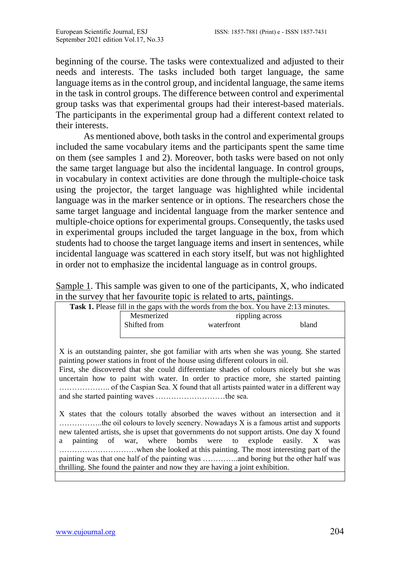beginning of the course. The tasks were contextualized and adjusted to their needs and interests. The tasks included both target language, the same language items as in the control group, and incidental language, the same items in the task in control groups. The difference between control and experimental group tasks was that experimental groups had their interest-based materials. The participants in the experimental group had a different context related to their interests.

As mentioned above, both tasks in the control and experimental groups included the same vocabulary items and the participants spent the same time on them (see samples 1 and 2). Moreover, both tasks were based on not only the same target language but also the incidental language. In control groups, in vocabulary in context activities are done through the multiple-choice task using the projector, the target language was highlighted while incidental language was in the marker sentence or in options. The researchers chose the same target language and incidental language from the marker sentence and multiple-choice options for experimental groups. Consequently, the tasks used in experimental groups included the target language in the box, from which students had to choose the target language items and insert in sentences, while incidental language was scattered in each story itself, but was not highlighted in order not to emphasize the incidental language as in control groups.

| Sample 1. This sample was given to one of the participants, $X$ , who indicated |  |
|---------------------------------------------------------------------------------|--|
| in the survey that her favourite topic is related to arts, paintings.           |  |

| <b>Task 1.</b> Please fill in the gaps with the words from the box. You have 2:13 minutes. |                               |       |  |  |  |
|--------------------------------------------------------------------------------------------|-------------------------------|-------|--|--|--|
| Mesmerized<br>Shifted from                                                                 | rippling across<br>waterfront | bland |  |  |  |
|                                                                                            |                               |       |  |  |  |

X is an outstanding painter, she got familiar with arts when she was young. She started painting power stations in front of the house using different colours in oil. First, she discovered that she could differentiate shades of colours nicely but she was

uncertain how to paint with water. In order to practice more, she started painting ……………….. of the Caspian Sea. X found that all artists painted water in a different way and she started painting waves ………………………the sea.

X states that the colours totally absorbed the waves without an intersection and it ……………..the oil colours to lovely scenery. Nowadays X is a famous artist and supports new talented artists, she is upset that governments do not support artists. One day X found a painting of war, where bombs were to explode easily. X was …………………………when she looked at this painting. The most interesting part of the painting was that one half of the painting was …………..and boring but the other half was thrilling. She found the painter and now they are having a joint exhibition.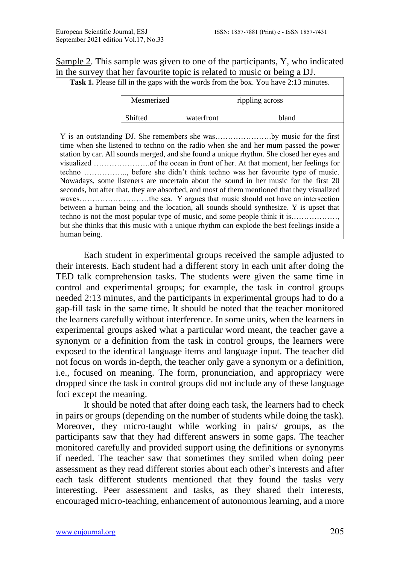Sample 2. This sample was given to one of the participants, Y, who indicated in the survey that her favourite topic is related to music or being a DJ.

Task 1. Please fill in the gaps with the words from the box. You have 2:13 minutes.

| Mesmerized |            | rippling across |  |
|------------|------------|-----------------|--|
| Shifted    | waterfront | bland           |  |

Y is an outstanding DJ. She remembers she was………………….by music for the first time when she listened to techno on the radio when she and her mum passed the power station by car. All sounds merged, and she found a unique rhythm. She closed her eyes and visualized ………………….of the ocean in front of her. At that moment, her feelings for techno …………….., before she didn't think techno was her favourite type of music. Nowadays, some listeners are uncertain about the sound in her music for the first 20 seconds, but after that, they are absorbed, and most of them mentioned that they visualized waves………………………the sea. Y argues that music should not have an intersection between a human being and the location, all sounds should synthesize. Y is upset that techno is not the most popular type of music, and some people think it is………………, but she thinks that this music with a unique rhythm can explode the best feelings inside a human being.

Each student in experimental groups received the sample adjusted to their interests. Each student had a different story in each unit after doing the TED talk comprehension tasks. The students were given the same time in control and experimental groups; for example, the task in control groups needed 2:13 minutes, and the participants in experimental groups had to do a gap-fill task in the same time. It should be noted that the teacher monitored the learners carefully without interference. In some units, when the learners in experimental groups asked what a particular word meant, the teacher gave a synonym or a definition from the task in control groups, the learners were exposed to the identical language items and language input. The teacher did not focus on words in-depth, the teacher only gave a synonym or a definition, i.e., focused on meaning. The form, pronunciation, and appropriacy were dropped since the task in control groups did not include any of these language foci except the meaning.

It should be noted that after doing each task, the learners had to check in pairs or groups (depending on the number of students while doing the task). Moreover, they micro-taught while working in pairs/ groups, as the participants saw that they had different answers in some gaps. The teacher monitored carefully and provided support using the definitions or synonyms if needed. The teacher saw that sometimes they smiled when doing peer assessment as they read different stories about each other`s interests and after each task different students mentioned that they found the tasks very interesting. Peer assessment and tasks, as they shared their interests, encouraged micro-teaching, enhancement of autonomous learning, and a more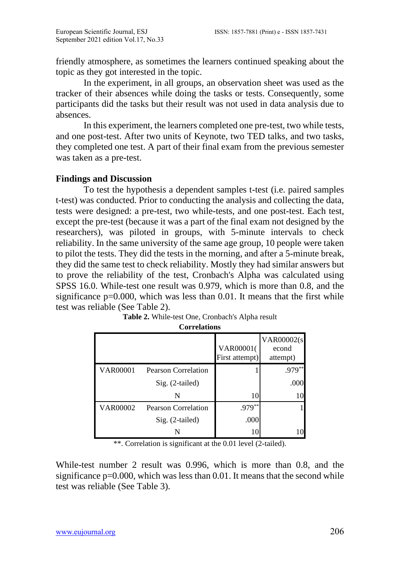friendly atmosphere, as sometimes the learners continued speaking about the topic as they got interested in the topic.

In the experiment, in all groups, an observation sheet was used as the tracker of their absences while doing the tasks or tests. Consequently, some participants did the tasks but their result was not used in data analysis due to absences.

In this experiment, the learners completed one pre-test, two while tests, and one post-test. After two units of Keynote, two TED talks, and two tasks, they completed one test. A part of their final exam from the previous semester was taken as a pre-test.

## **Findings and Discussion**

To test the hypothesis a dependent samples t-test (i.e. paired samples t-test) was conducted. Prior to conducting the analysis and collecting the data, tests were designed: a pre-test, two while-tests, and one post-test. Each test, except the pre-test (because it was a part of the final exam not designed by the researchers), was piloted in groups, with 5-minute intervals to check reliability. In the same university of the same age group, 10 people were taken to pilot the tests. They did the tests in the morning, and after a 5-minute break, they did the same test to check reliability. Mostly they had similar answers but to prove the reliability of the test, Cronbach's Alpha was calculated using SPSS 16.0. While-test one result was 0.979, which is more than 0.8, and the significance  $p=0.000$ , which was less than 0.01. It means that the first while test was reliable (See Table 2).

|                 |                            | VAR00001(<br>First attempt) | <b>VAR00002(s)</b><br>econd<br>attempt) |
|-----------------|----------------------------|-----------------------------|-----------------------------------------|
| <b>VAR00001</b> | Pearson Correlation        |                             | $.979**$                                |
|                 | Sig. (2-tailed)            |                             | .000                                    |
|                 | N                          | 10                          |                                         |
| <b>VAR00002</b> | <b>Pearson Correlation</b> | $.979**$                    |                                         |
|                 | Sig. (2-tailed)            | .000                        |                                         |
|                 |                            |                             |                                         |

**Table 2.** While-test One, Cronbach's Alpha result **Correlations**

\*\*. Correlation is significant at the 0.01 level (2-tailed).

While-test number 2 result was 0.996, which is more than 0.8, and the significance  $p=0.000$ , which was less than 0.01. It means that the second while test was reliable (See Table 3).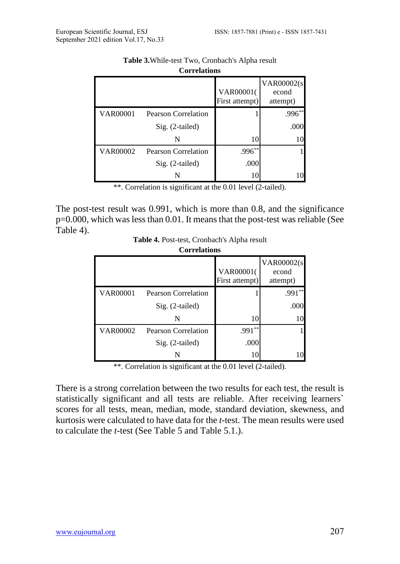|                 | <b>Correnandis</b>         |                             |                                         |
|-----------------|----------------------------|-----------------------------|-----------------------------------------|
|                 |                            | VAR00001(<br>First attempt) | <b>VAR00002(s)</b><br>econd<br>attempt) |
| <b>VAR00001</b> | <b>Pearson Correlation</b> |                             | $.996**$                                |
|                 | Sig. (2-tailed)            |                             | .000                                    |
|                 | N                          | 10                          | 10                                      |
| <b>VAR00002</b> | <b>Pearson Correlation</b> | $.996**$                    |                                         |
|                 | Sig. (2-tailed)            | .000                        |                                         |
|                 | N                          | 10                          |                                         |

| <b>Table 3.</b> While-test Two, Cronbach's Alpha result |  |  |
|---------------------------------------------------------|--|--|
| <b>Correlations</b>                                     |  |  |

\*\*. Correlation is significant at the 0.01 level (2-tailed).

The post-test result was 0.991, which is more than 0.8, and the significance p=0.000, which was less than 0.01. It means that the post-test was reliable (See Table 4).

| Table 4. Post-test, Cronbach's Alpha result |
|---------------------------------------------|
| $C_{\text{standard}}$                       |

|                 | <b>Correlations</b> |                             |                                         |
|-----------------|---------------------|-----------------------------|-----------------------------------------|
|                 |                     | VAR00001(<br>First attempt) | <b>VAR00002(s)</b><br>econd<br>attempt) |
| <b>VAR00001</b> | Pearson Correlation |                             | **<br>.991                              |
|                 | Sig. (2-tailed)     |                             | .000                                    |
|                 | N                   | 10                          | 10                                      |
| <b>VAR00002</b> | Pearson Correlation | **<br>.991                  |                                         |
|                 | Sig. (2-tailed)     | .000                        |                                         |
|                 |                     | 10                          |                                         |

\*\*. Correlation is significant at the 0.01 level (2-tailed).

There is a strong correlation between the two results for each test, the result is statistically significant and all tests are reliable. After receiving learners` scores for all tests, mean, median, mode, standard deviation, skewness, and kurtosis were calculated to have data for the *t-*test. The mean results were used to calculate the *t-*test (See Table 5 and Table 5.1.).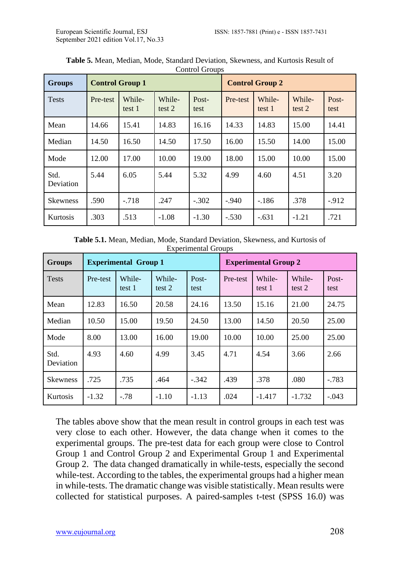| <b>Groups</b>     | <b>Control Group 1</b> |                  |                  | <b>Control Group 2</b> |          |                  |                  |               |
|-------------------|------------------------|------------------|------------------|------------------------|----------|------------------|------------------|---------------|
| <b>Tests</b>      | Pre-test               | While-<br>test 1 | While-<br>test 2 | Post-<br>test          | Pre-test | While-<br>test 1 | While-<br>test 2 | Post-<br>test |
| Mean              | 14.66                  | 15.41            | 14.83            | 16.16                  | 14.33    | 14.83            | 15.00            | 14.41         |
| Median            | 14.50                  | 16.50            | 14.50            | 17.50                  | 16.00    | 15.50            | 14.00            | 15.00         |
| Mode              | 12.00                  | 17.00            | 10.00            | 19.00                  | 18.00    | 15.00            | 10.00            | 15.00         |
| Std.<br>Deviation | 5.44                   | 6.05             | 5.44             | 5.32                   | 4.99     | 4.60             | 4.51             | 3.20          |
| <b>Skewness</b>   | .590                   | $-.718$          | .247             | $-.302$                | $-.940$  | $-.186$          | .378             | $-912$        |
| Kurtosis          | .303                   | .513             | $-1.08$          | $-1.30$                | $-.530$  | $-.631$          | $-1.21$          | .721          |

**Table 5.** Mean, Median, Mode, Standard Deviation, Skewness, and Kurtosis Result of Control Groups

**Table 5.1.** Mean, Median, Mode, Standard Deviation, Skewness, and Kurtosis of Experimental Groups

| <b>Groups</b>            | <b>Experimental Group 1</b> |                  |                  |               | <b>Experimental Group 2</b> |                  |                  |               |
|--------------------------|-----------------------------|------------------|------------------|---------------|-----------------------------|------------------|------------------|---------------|
| <b>Tests</b>             | Pre-test                    | While-<br>test 1 | While-<br>test 2 | Post-<br>test | Pre-test                    | While-<br>test 1 | While-<br>test 2 | Post-<br>test |
| Mean                     | 12.83                       | 16.50            | 20.58            | 24.16         | 13.50                       | 15.16            | 21.00            | 24.75         |
| Median                   | 10.50                       | 15.00            | 19.50            | 24.50         | 13.00                       | 14.50            | 20.50            | 25.00         |
| Mode                     | 8.00                        | 13.00            | 16.00            | 19.00         | 10.00                       | 10.00            | 25.00            | 25.00         |
| Std.<br><b>Deviation</b> | 4.93                        | 4.60             | 4.99             | 3.45          | 4.71                        | 4.54             | 3.66             | 2.66          |
| <b>Skewness</b>          | .725                        | .735             | .464             | $-.342$       | .439                        | .378             | .080             | $-.783$       |
| Kurtosis                 | $-1.32$                     | $-.78$           | $-1.10$          | $-1.13$       | .024                        | $-1.417$         | $-1.732$         | $-.043$       |

The tables above show that the mean result in control groups in each test was very close to each other. However, the data change when it comes to the experimental groups. The pre-test data for each group were close to Control Group 1 and Control Group 2 and Experimental Group 1 and Experimental Group 2. The data changed dramatically in while-tests, especially the second while-test. According to the tables, the experimental groups had a higher mean in while-tests. The dramatic change was visible statistically. Mean results were collected for statistical purposes. A paired-samples t-test (SPSS 16.0) was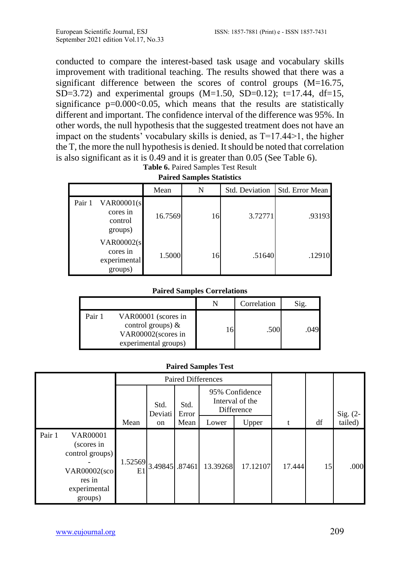conducted to compare the interest-based task usage and vocabulary skills improvement with traditional teaching. The results showed that there was a significant difference between the scores of control groups (M=16.75, SD=3.72) and experimental groups  $(M=1.50, SD=0.12)$ ; t=17.44, df=15, significance  $p=0.000<0.05$ , which means that the results are statistically different and important. The confidence interval of the difference was 95%. In other words, the null hypothesis that the suggested treatment does not have an impact on the students' vocabulary skills is denied, as T=17.44>1, the higher the T, the more the null hypothesis is denied. It should be noted that correlation is also significant as it is 0.49 and it is greater than 0.05 (See Table 6).

| $\sim$ was vww. $\sim$ was payd $\sim$ vww. Developed |                                                           |         |    |                |                 |  |  |  |  |
|-------------------------------------------------------|-----------------------------------------------------------|---------|----|----------------|-----------------|--|--|--|--|
|                                                       |                                                           | Mean    | N  | Std. Deviation | Std. Error Mean |  |  |  |  |
| Pair 1                                                | <b>VAR00001(s)</b><br>cores in<br>control<br>groups)      | 16.7569 | 16 | 3.72771        | .93193          |  |  |  |  |
|                                                       | <b>VAR00002(s)</b><br>cores in<br>experimental<br>groups) | 1.5000  | 16 | .51640         | .12910          |  |  |  |  |

**Table 6.** Paired Samples Test Result **Paired Samples Statistics**

#### **Paired Samples Correlations**

|        |                                                                                           | Correlation | Sig. |
|--------|-------------------------------------------------------------------------------------------|-------------|------|
| Pair 1 | VAR00001 (scores in<br>control groups) $\&$<br>VAR00002(scores in<br>experimental groups) | .500        | .049 |

#### **Paired Samples Test**

|        |                                                                                                              | Paired Differences |                 |               |                                                 |          |        |    |            |
|--------|--------------------------------------------------------------------------------------------------------------|--------------------|-----------------|---------------|-------------------------------------------------|----------|--------|----|------------|
|        |                                                                                                              |                    | Std.<br>Deviati | Std.<br>Error | 95% Confidence<br>Interval of the<br>Difference |          |        |    | Sig. $(2-$ |
|        |                                                                                                              | Mean               | on              | Mean          | Lower                                           | Upper    | t      | df | tailed)    |
| Pair 1 | <b>VAR00001</b><br>(scores in<br>control groups)<br><b>VAR00002(sco</b><br>res in<br>experimental<br>groups) | 1.52569<br>E1      | 3.49845 .87461  |               | 13.39268                                        | 17.12107 | 17.444 | 15 | .000       |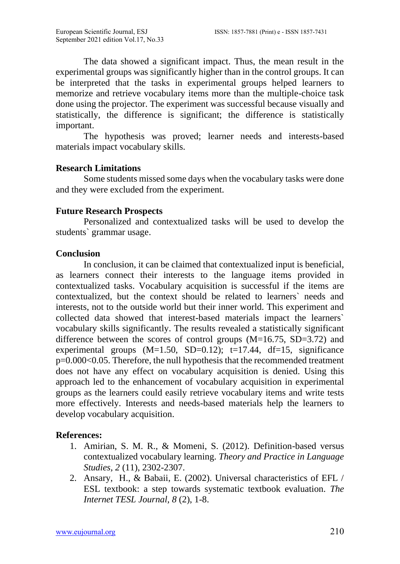The data showed a significant impact. Thus, the mean result in the experimental groups was significantly higher than in the control groups. It can be interpreted that the tasks in experimental groups helped learners to memorize and retrieve vocabulary items more than the multiple-choice task done using the projector. The experiment was successful because visually and statistically, the difference is significant; the difference is statistically important.

The hypothesis was proved; learner needs and interests-based materials impact vocabulary skills.

## **Research Limitations**

Some students missed some days when the vocabulary tasks were done and they were excluded from the experiment.

## **Future Research Prospects**

Personalized and contextualized tasks will be used to develop the students` grammar usage.

# **Conclusion**

In conclusion, it can be claimed that contextualized input is beneficial, as learners connect their interests to the language items provided in contextualized tasks. Vocabulary acquisition is successful if the items are contextualized, but the context should be related to learners` needs and interests, not to the outside world but their inner world. This experiment and collected data showed that interest-based materials impact the learners` vocabulary skills significantly. The results revealed a statistically significant difference between the scores of control groups (M=16.75, SD=3.72) and experimental groups  $(M=1.50, SD=0.12)$ ;  $t=17.44, df=15$ , significance p=0.000<0.05. Therefore, the null hypothesis that the recommended treatment does not have any effect on vocabulary acquisition is denied. Using this approach led to the enhancement of vocabulary acquisition in experimental groups as the learners could easily retrieve vocabulary items and write tests more effectively. Interests and needs-based materials help the learners to develop vocabulary acquisition.

# **References:**

- 1. Amirian, S. M. R., & Momeni, S. (2012). Definition-based versus contextualized vocabulary learning. *Theory and Practice in Language Studies, 2* (11), 2302-2307.
- 2. Ansary, H., & Babaii, E. (2002). Universal characteristics of EFL / ESL textbook: a step towards systematic textbook evaluation. *The Internet TESL Journal, 8* (2), 1-8.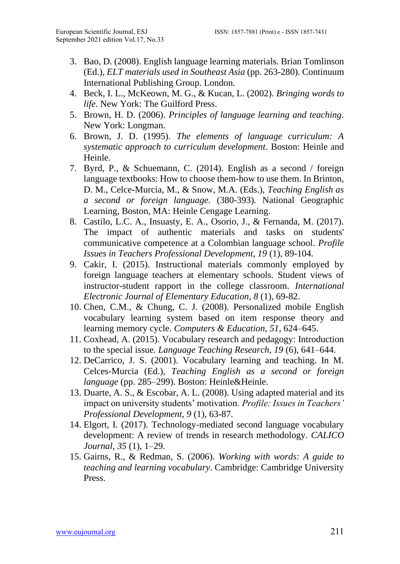- 3. Bao, D. (2008). English language learning materials. Brian Tomlinson (Ed.), *ELT materials used in Southeast Asia* (pp. 263-280). Continuum International Publishing Group. London.
- 4. Beck, I. L., McKeown, M. G., & Kucan, L. (2002). *Bringing words to life*. New York: The Guilford Press.
- 5. Brown, H. D. (2006). *Principles of language learning and teaching*. New York: Longman.
- 6. Brown, J. D. (1995). *The elements of language curriculum: A systematic approach to curriculum development*. Boston: Heinle and Heinle.
- 7. Byrd, P., & Schuemann, C. (2014). English as a second / foreign language textbooks: How to choose them-how to use them. In Brinton, D. M., Celce-Murcia, M., & Snow, M.A. (Eds.), *Teaching English as a second or foreign language.* (380-393). National Geographic Learning, Boston, MA: Heinle Cengage Learning.
- 8. Castilo, L.C. A., Insuasty, E. A., Osorio, J., & Fernanda, M. (2017). The impact of authentic materials and tasks on students' communicative competence at a Colombian language school. *Profile Issues in Teachers Professional Development, 19* (1), 89-104.
- 9. Cakir, I. (2015). Instructional materials commonly employed by foreign language teachers at elementary schools. Student views of instructor-student rapport in the college classroom. *International Electronic Journal of Elementary Education, 8* (1), 69-82.
- 10. Chen, C.M., & Chung, C. J. (2008). Personalized mobile English vocabulary learning system based on item response theory and learning memory cycle. *Computers & Education, 51*, 624–645.
- 11. Coxhead, A. (2015). Vocabulary research and pedagogy: Introduction to the special issue. *Language Teaching Research, 19* (6), 641–644.
- 12. DeCarrico, J. S. (2001). Vocabulary learning and teaching. In M. Celces-Murcia (Ed.), *Teaching English as a second or foreign language* (pp. 285–299). Boston: Heinle&Heinle.
- 13. Duarte, A. S., & Escobar, A. L. (2008). Using adapted material and its impact on university students' motivation. *Profile: Issues in Teachers' Professional Development, 9* (1), 63-87.
- 14. Elgort, I. (2017). Technology-mediated second language vocabulary development: A review of trends in research methodology. *CALICO Journal, 35* (1), 1–29.
- 15. Gairns, R., & Redman, S. (2006). *Working with words: A guide to teaching and learning vocabulary*. Cambridge: Cambridge University Press.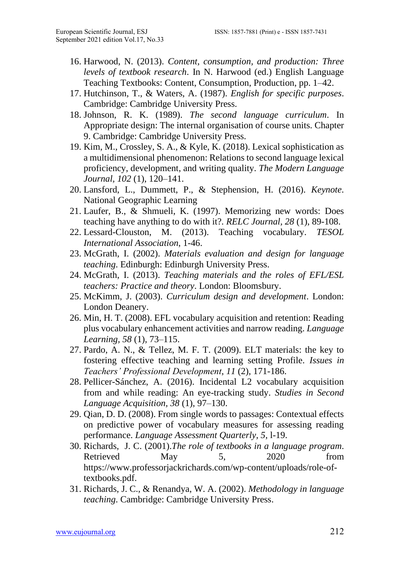- 16. Harwood, N. (2013). *Content, consumption, and production: Three levels of textbook research*. In N. Harwood (ed.) English Language Teaching Textbooks: Content, Consumption, Production, pp. 1–42.
- 17. Hutchinson, T., & Waters, A. (1987). *English for specific purposes*. Cambridge: Cambridge University Press.
- 18. Johnson, R. K. (1989). *The second language curriculum*. In Appropriate design: The internal organisation of course units. Chapter 9. Cambridge: Cambridge University Press.
- 19. Kim, M., Crossley, S. A., & Kyle, K. (2018). Lexical sophistication as a multidimensional phenomenon: Relations to second language lexical proficiency, development, and writing quality. *The Modern Language Journal, 102* (1), 120–141.
- 20. Lansford, L., Dummett, P., & Stephension, H. (2016). *Keynote*. National Geographic Learning
- 21. Laufer, B., & Shmueli, K. (1997). Memorizing new words: Does teaching have anything to do with it?. *RELC Journal, 28* (1), 89-108.
- 22. Lessard-Clouston, M. (2013). Teaching vocabulary. *TESOL International Association*, 1-46.
- 23. McGrath, I. (2002). *Materials evaluation and design for language teaching*. Edinburgh: Edinburgh University Press.
- 24. McGrath, I. (2013). *Teaching materials and the roles of EFL/ESL teachers: Practice and theory*. London: Bloomsbury.
- 25. McKimm, J. (2003). *Curriculum design and development*. London: London Deanery.
- 26. Min, H. T. (2008). EFL vocabulary acquisition and retention: Reading plus vocabulary enhancement activities and narrow reading. *Language Learning, 58* (1), 73–115.
- 27. Pardo, A. N., & Tellez, M. F. T. (2009). ELT materials: the key to fostering effective teaching and learning setting Profile. *Issues in Teachers' Professional Development*, *11* (2), 171-186.
- 28. Pellicer-Sánchez, A. (2016). Incidental L2 vocabulary acquisition from and while reading: An eye-tracking study. *Studies in Second Language Acquisition, 38* (1), 97–130.
- 29. Qian, D. D. (2008). From single words to passages: Contextual effects on predictive power of vocabulary measures for assessing reading performance. *Language Assessment Quarterly, 5*, l-19.
- 30. Richards, J. C. (2001).*The role of textbooks in a language program*. Retrieved May 5, 2020 from [https://www.professorjackrichards.com/wp-content/uploads/role-of](https://www.professorjackrichards.com/wp-content/uploads/role-of-textbooks.pdf)[textbooks.pdf.](https://www.professorjackrichards.com/wp-content/uploads/role-of-textbooks.pdf)
- 31. Richards, J. C., & Renandya, W. A. (2002). *Methodology in language teaching*. Cambridge: Cambridge University Press.